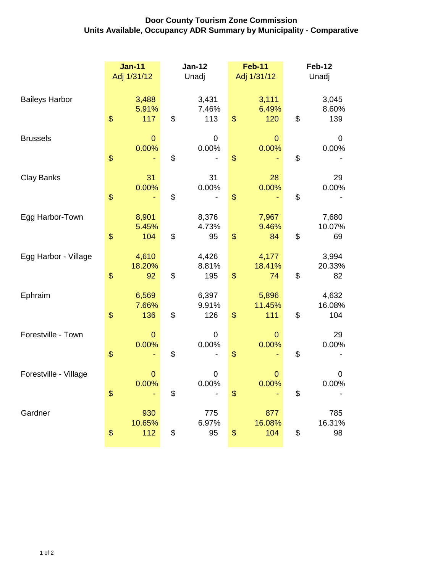## **Door County Tourism Zone Commission Units Available, Occupancy ADR Summary by Municipality - Comparative**

|                       | <b>Jan-11</b><br>Adj 1/31/12 | <b>Jan-12</b><br>Unadj |                       | <b>Feb-11</b><br>Adj 1/31/12 |                         | <b>Feb-12</b><br>Unadj |                        |
|-----------------------|------------------------------|------------------------|-----------------------|------------------------------|-------------------------|------------------------|------------------------|
| <b>Baileys Harbor</b> | 3,488<br>5.91%<br>\$<br>117  | \$                     | 3,431<br>7.46%<br>113 | $\mathbf{\$}$                | 3,111<br>6.49%<br>120   | \$                     | 3,045<br>8.60%<br>139  |
| <b>Brussels</b>       | $\mathbf 0$<br>0.00%<br>\$   | \$                     | 0<br>0.00%            | \$                           | $\mathbf{0}$<br>0.00%   | \$                     | 0<br>0.00%             |
| <b>Clay Banks</b>     | 31<br>0.00%<br>\$            | \$                     | 31<br>0.00%           | $\frac{1}{2}$                | 28<br>0.00%             | \$                     | 29<br>0.00%            |
| Egg Harbor-Town       | 8,901<br>5.45%<br>\$<br>104  | \$                     | 8,376<br>4.73%<br>95  | $\boldsymbol{\$}$            | 7,967<br>9.46%<br>84    | \$                     | 7,680<br>10.07%<br>69  |
| Egg Harbor - Village  | 4,610<br>18.20%<br>\$<br>92  | \$                     | 4,426<br>8.81%<br>195 | \$                           | 4,177<br>18.41%<br>74   | \$                     | 3,994<br>20.33%<br>82  |
| Ephraim               | 6,569<br>7.66%<br>\$<br>136  | \$                     | 6,397<br>9.91%<br>126 | $\boldsymbol{\$}$            | 5,896<br>11.45%<br>111  | \$                     | 4,632<br>16.08%<br>104 |
| Forestville - Town    | $\mathbf{0}$<br>0.00%<br>\$  | \$                     | 0<br>0.00%            | \$                           | $\overline{0}$<br>0.00% | \$                     | 29<br>0.00%            |
| Forestville - Village | $\mathbf{0}$<br>0.00%<br>\$  | \$                     | 0<br>0.00%            | \$                           | $\overline{0}$<br>0.00% | \$                     | 0<br>0.00%             |
| Gardner               | 930<br>10.65%<br>\$<br>112   | \$                     | 775<br>6.97%<br>95    | \$                           | 877<br>16.08%<br>104    | \$                     | 785<br>16.31%<br>98    |